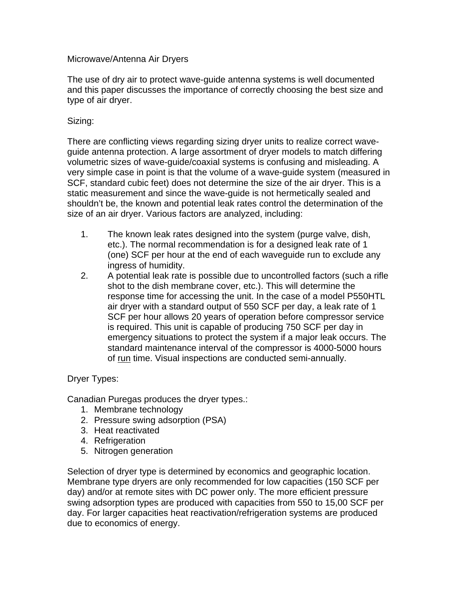## Microwave/Antenna Air Dryers

The use of dry air to protect wave-guide antenna systems is well documented and this paper discusses the importance of correctly choosing the best size and type of air dryer.

## Sizing:

There are conflicting views regarding sizing dryer units to realize correct waveguide antenna protection. A large assortment of dryer models to match differing volumetric sizes of wave-guide/coaxial systems is confusing and misleading. A very simple case in point is that the volume of a wave-guide system (measured in SCF, standard cubic feet) does not determine the size of the air dryer. This is a static measurement and since the wave-guide is not hermetically sealed and shouldn't be, the known and potential leak rates control the determination of the size of an air dryer. Various factors are analyzed, including:

- 1. The known leak rates designed into the system (purge valve, dish, etc.). The normal recommendation is for a designed leak rate of 1 (one) SCF per hour at the end of each waveguide run to exclude any ingress of humidity.
- 2. A potential leak rate is possible due to uncontrolled factors (such a rifle shot to the dish membrane cover, etc.). This will determine the response time for accessing the unit. In the case of a model P550HTL air dryer with a standard output of 550 SCF per day, a leak rate of 1 SCF per hour allows 20 years of operation before compressor service is required. This unit is capable of producing 750 SCF per day in emergency situations to protect the system if a major leak occurs. The standard maintenance interval of the compressor is 4000-5000 hours of run time. Visual inspections are conducted semi-annually.

## Dryer Types:

Canadian Puregas produces the dryer types.:

- 1. Membrane technology
- 2. Pressure swing adsorption (PSA)
- 3. Heat reactivated
- 4. Refrigeration
- 5. Nitrogen generation

Selection of dryer type is determined by economics and geographic location. Membrane type dryers are only recommended for low capacities (150 SCF per day) and/or at remote sites with DC power only. The more efficient pressure swing adsorption types are produced with capacities from 550 to 15,00 SCF per day. For larger capacities heat reactivation/refrigeration systems are produced due to economics of energy.